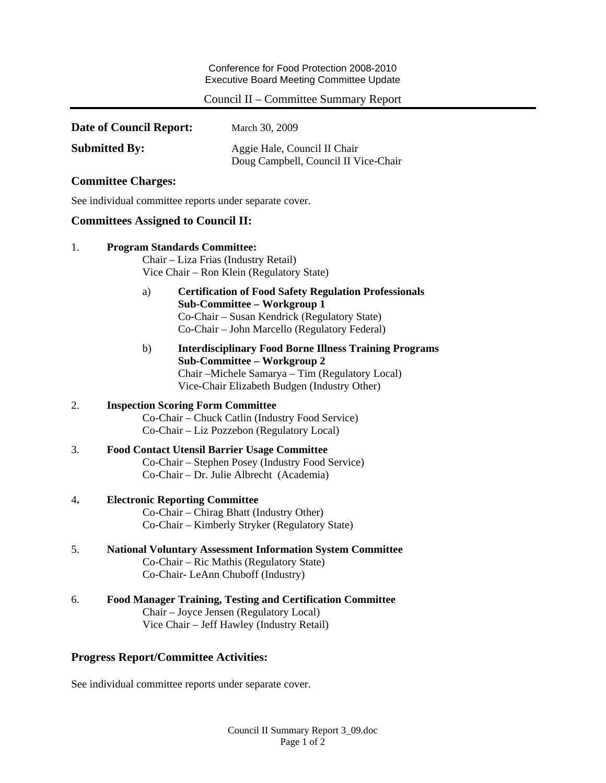Conference for Food Protection 2008-2010 Executive Board Meeting Committee Update

# Council II – Committee Summary Report

| Date of Council Report: | March 30, 2009                                                       |
|-------------------------|----------------------------------------------------------------------|
| <b>Submitted By:</b>    | Aggie Hale, Council II Chair<br>Doug Campbell, Council II Vice-Chair |

# **Committee Charges:**

See individual committee reports under separate cover.

### **Committees Assigned to Council II:**

| 1. | <b>Program Standards Committee:</b><br>Chair – Liza Frias (Industry Retail)<br>Vice Chair – Ron Klein (Regulatory State)                                                                               |  |
|----|--------------------------------------------------------------------------------------------------------------------------------------------------------------------------------------------------------|--|
|    | <b>Certification of Food Safety Regulation Professionals</b><br>a)<br>Sub-Committee - Workgroup 1<br>Co-Chair - Susan Kendrick (Regulatory State)<br>Co-Chair - John Marcello (Regulatory Federal)     |  |
|    | <b>Interdisciplinary Food Borne Illness Training Programs</b><br>b)<br>Sub-Committee – Workgroup 2<br>Chair – Michele Samarya – Tim (Regulatory Local)<br>Vice-Chair Elizabeth Budgen (Industry Other) |  |
| 2. | <b>Inspection Scoring Form Committee</b><br>Co-Chair - Chuck Catlin (Industry Food Service)<br>Co-Chair – Liz Pozzebon (Regulatory Local)                                                              |  |
| 3. | <b>Food Contact Utensil Barrier Usage Committee</b><br>Co-Chair - Stephen Posey (Industry Food Service)<br>Co-Chair - Dr. Julie Albrecht (Academia)                                                    |  |
| 4. | <b>Electronic Reporting Committee</b><br>Co-Chair – Chirag Bhatt (Industry Other)<br>Co-Chair – Kimberly Stryker (Regulatory State)                                                                    |  |
| 5. | <b>National Voluntary Assessment Information System Committee</b><br>Co-Chair - Ric Mathis (Regulatory State)<br>Co-Chair- LeAnn Chuboff (Industry)                                                    |  |
| 6. | <b>Food Manager Training, Testing and Certification Committee</b><br>Chair – Joyce Jensen (Regulatory Local)                                                                                           |  |

Vice Chair – Jeff Hawley (Industry Retail)

# **Progress Report/Committee Activities:**

See individual committee reports under separate cover.